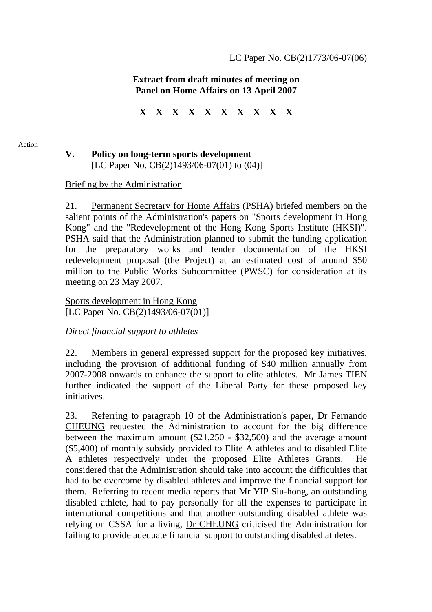# **Extract from draft minutes of meeting on Panel on Home Affairs on 13 April 2007**

**X X X X X X X X X X** 

#### Action

### **V. Policy on long-term sports development**  [LC Paper No. CB(2)1493/06-07(01) to (04)]

### Briefing by the Administration

21. Permanent Secretary for Home Affairs (PSHA) briefed members on the salient points of the Administration's papers on "Sports development in Hong Kong" and the "Redevelopment of the Hong Kong Sports Institute (HKSI)". PSHA said that the Administration planned to submit the funding application for the preparatory works and tender documentation of the HKSI redevelopment proposal (the Project) at an estimated cost of around \$50 million to the Public Works Subcommittee (PWSC) for consideration at its meeting on 23 May 2007.

Sports development in Hong Kong [LC Paper No. CB(2)1493/06-07(01)]

### *Direct financial support to athletes*

22. Members in general expressed support for the proposed key initiatives, including the provision of additional funding of \$40 million annually from 2007-2008 onwards to enhance the support to elite athletes. Mr James TIEN further indicated the support of the Liberal Party for these proposed key initiatives.

23. Referring to paragraph 10 of the Administration's paper, Dr Fernando CHEUNG requested the Administration to account for the big difference between the maximum amount (\$21,250 - \$32,500) and the average amount (\$5,400) of monthly subsidy provided to Elite A athletes and to disabled Elite A athletes respectively under the proposed Elite Athletes Grants. considered that the Administration should take into account the difficulties that had to be overcome by disabled athletes and improve the financial support for them. Referring to recent media reports that Mr YIP Siu-hong, an outstanding disabled athlete, had to pay personally for all the expenses to participate in international competitions and that another outstanding disabled athlete was relying on CSSA for a living, Dr CHEUNG criticised the Administration for failing to provide adequate financial support to outstanding disabled athletes.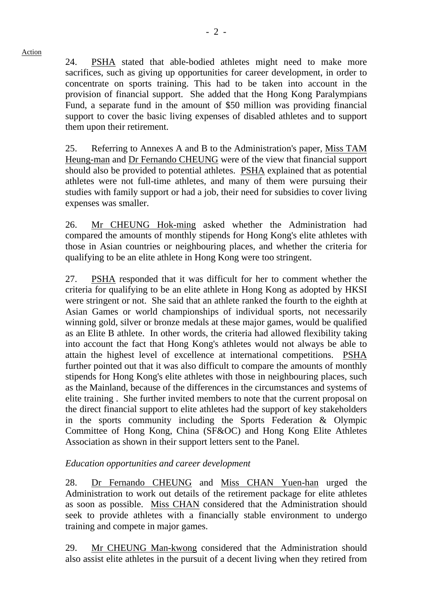### Action

24. PSHA stated that able-bodied athletes might need to make more sacrifices, such as giving up opportunities for career development, in order to concentrate on sports training. This had to be taken into account in the provision of financial support. She added that the Hong Kong Paralympians Fund, a separate fund in the amount of \$50 million was providing financial support to cover the basic living expenses of disabled athletes and to support them upon their retirement.

25. Referring to Annexes A and B to the Administration's paper, Miss TAM Heung-man and Dr Fernando CHEUNG were of the view that financial support should also be provided to potential athletes. PSHA explained that as potential athletes were not full-time athletes, and many of them were pursuing their studies with family support or had a job, their need for subsidies to cover living expenses was smaller.

26. Mr CHEUNG Hok-ming asked whether the Administration had compared the amounts of monthly stipends for Hong Kong's elite athletes with those in Asian countries or neighbouring places, and whether the criteria for qualifying to be an elite athlete in Hong Kong were too stringent.

27. PSHA responded that it was difficult for her to comment whether the criteria for qualifying to be an elite athlete in Hong Kong as adopted by HKSI were stringent or not. She said that an athlete ranked the fourth to the eighth at Asian Games or world championships of individual sports, not necessarily winning gold, silver or bronze medals at these major games, would be qualified as an Elite B athlete. In other words, the criteria had allowed flexibility taking into account the fact that Hong Kong's athletes would not always be able to attain the highest level of excellence at international competitions. PSHA further pointed out that it was also difficult to compare the amounts of monthly stipends for Hong Kong's elite athletes with those in neighbouring places, such as the Mainland, because of the differences in the circumstances and systems of elite training . She further invited members to note that the current proposal on the direct financial support to elite athletes had the support of key stakeholders in the sports community including the Sports Federation & Olympic Committee of Hong Kong, China (SF&OC) and Hong Kong Elite Athletes Association as shown in their support letters sent to the Panel.

# *Education opportunities and career development*

28. Dr Fernando CHEUNG and Miss CHAN Yuen-han urged the Administration to work out details of the retirement package for elite athletes as soon as possible. Miss CHAN considered that the Administration should seek to provide athletes with a financially stable environment to undergo training and compete in major games.

29. Mr CHEUNG Man-kwong considered that the Administration should also assist elite athletes in the pursuit of a decent living when they retired from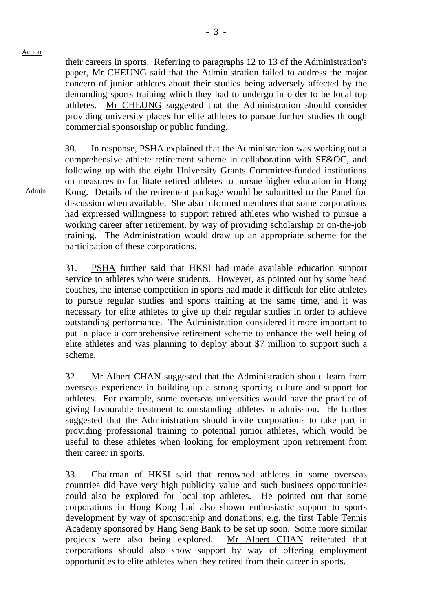their careers in sports. Referring to paragraphs 12 to 13 of the Administration's paper, Mr CHEUNG said that the Administration failed to address the major concern of junior athletes about their studies being adversely affected by the demanding sports training which they had to undergo in order to be local top athletes. Mr CHEUNG suggested that the Administration should consider providing university places for elite athletes to pursue further studies through commercial sponsorship or public funding.

30. In response, PSHA explained that the Administration was working out a comprehensive athlete retirement scheme in collaboration with SF&OC, and following up with the eight University Grants Committee-funded institutions on measures to facilitate retired athletes to pursue higher education in Hong Kong. Details of the retirement package would be submitted to the Panel for discussion when available. She also informed members that some corporations had expressed willingness to support retired athletes who wished to pursue a working career after retirement, by way of providing scholarship or on-the-job training. The Administration would draw up an appropriate scheme for the participation of these corporations.

31. PSHA further said that HKSI had made available education support service to athletes who were students. However, as pointed out by some head coaches, the intense competition in sports had made it difficult for elite athletes to pursue regular studies and sports training at the same time, and it was necessary for elite athletes to give up their regular studies in order to achieve outstanding performance. The Administration considered it more important to put in place a comprehensive retirement scheme to enhance the well being of elite athletes and was planning to deploy about \$7 million to support such a scheme.

32. Mr Albert CHAN suggested that the Administration should learn from overseas experience in building up a strong sporting culture and support for athletes. For example, some overseas universities would have the practice of giving favourable treatment to outstanding athletes in admission. He further suggested that the Administration should invite corporations to take part in providing professional training to potential junior athletes, which would be useful to these athletes when looking for employment upon retirement from their career in sports.

33. Chairman of HKSI said that renowned athletes in some overseas countries did have very high publicity value and such business opportunities could also be explored for local top athletes. He pointed out that some corporations in Hong Kong had also shown enthusiastic support to sports development by way of sponsorship and donations, e.g. the first Table Tennis Academy sponsored by Hang Seng Bank to be set up soon. Some more similar projects were also being explored. Mr Albert CHAN reiterated that corporations should also show support by way of offering employment opportunities to elite athletes when they retired from their career in sports.

Admin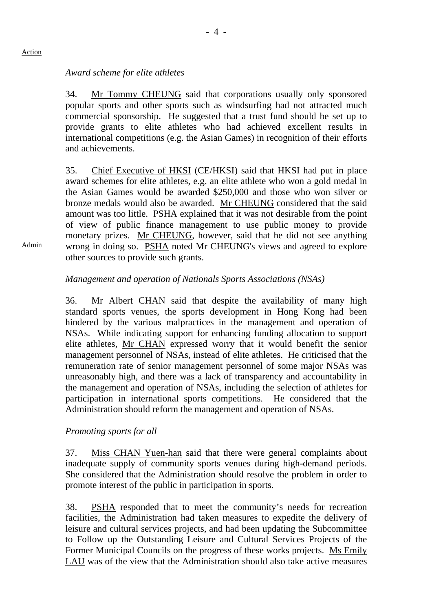# *Award scheme for elite athletes*

34. Mr Tommy CHEUNG said that corporations usually only sponsored popular sports and other sports such as windsurfing had not attracted much commercial sponsorship. He suggested that a trust fund should be set up to provide grants to elite athletes who had achieved excellent results in international competitions (e.g. the Asian Games) in recognition of their efforts and achievements.

35. Chief Executive of HKSI (CE/HKSI) said that HKSI had put in place award schemes for elite athletes, e.g. an elite athlete who won a gold medal in the Asian Games would be awarded \$250,000 and those who won silver or bronze medals would also be awarded. Mr CHEUNG considered that the said amount was too little. PSHA explained that it was not desirable from the point of view of public finance management to use public money to provide monetary prizes. Mr CHEUNG, however, said that he did not see anything wrong in doing so. PSHA noted Mr CHEUNG's views and agreed to explore other sources to provide such grants.

# *Management and operation of Nationals Sports Associations (NSAs)*

36. Mr Albert CHAN said that despite the availability of many high standard sports venues, the sports development in Hong Kong had been hindered by the various malpractices in the management and operation of NSAs. While indicating support for enhancing funding allocation to support elite athletes, Mr CHAN expressed worry that it would benefit the senior management personnel of NSAs, instead of elite athletes. He criticised that the remuneration rate of senior management personnel of some major NSAs was unreasonably high, and there was a lack of transparency and accountability in the management and operation of NSAs, including the selection of athletes for participation in international sports competitions. He considered that the Administration should reform the management and operation of NSAs.

### *Promoting sports for all*

37. Miss CHAN Yuen-han said that there were general complaints about inadequate supply of community sports venues during high-demand periods. She considered that the Administration should resolve the problem in order to promote interest of the public in participation in sports.

38. PSHA responded that to meet the community's needs for recreation facilities, the Administration had taken measures to expedite the delivery of leisure and cultural services projects, and had been updating the Subcommittee to Follow up the Outstanding Leisure and Cultural Services Projects of the Former Municipal Councils on the progress of these works projects. Ms Emily LAU was of the view that the Administration should also take active measures

Admin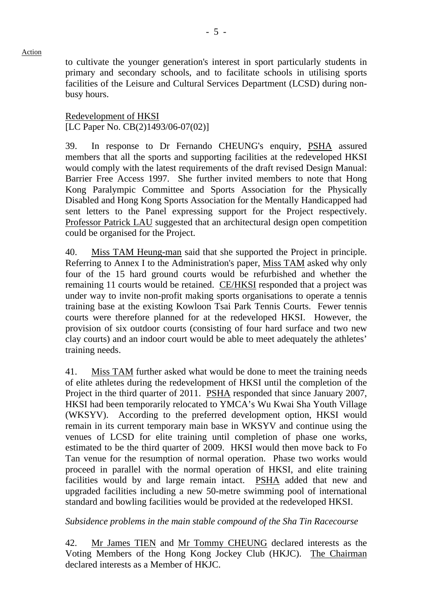Action

to cultivate the younger generation's interest in sport particularly students in primary and secondary schools, and to facilitate schools in utilising sports facilities of the Leisure and Cultural Services Department (LCSD) during nonbusy hours.

Redevelopment of HKSI [LC Paper No. CB(2)1493/06-07(02)]

39. In response to Dr Fernando CHEUNG's enquiry, PSHA assured members that all the sports and supporting facilities at the redeveloped HKSI would comply with the latest requirements of the draft revised Design Manual: Barrier Free Access 1997. She further invited members to note that Hong Kong Paralympic Committee and Sports Association for the Physically Disabled and Hong Kong Sports Association for the Mentally Handicapped had sent letters to the Panel expressing support for the Project respectively. Professor Patrick LAU suggested that an architectural design open competition could be organised for the Project.

40. Miss TAM Heung-man said that she supported the Project in principle. Referring to Annex I to the Administration's paper, Miss TAM asked why only four of the 15 hard ground courts would be refurbished and whether the remaining 11 courts would be retained. CE/HKSI responded that a project was under way to invite non-profit making sports organisations to operate a tennis training base at the existing Kowloon Tsai Park Tennis Courts. Fewer tennis courts were therefore planned for at the redeveloped HKSI. However, the provision of six outdoor courts (consisting of four hard surface and two new clay courts) and an indoor court would be able to meet adequately the athletes' training needs.

41. Miss TAM further asked what would be done to meet the training needs of elite athletes during the redevelopment of HKSI until the completion of the Project in the third quarter of 2011. PSHA responded that since January 2007, HKSI had been temporarily relocated to YMCA's Wu Kwai Sha Youth Village (WKSYV). According to the preferred development option, HKSI would remain in its current temporary main base in WKSYV and continue using the venues of LCSD for elite training until completion of phase one works, estimated to be the third quarter of 2009. HKSI would then move back to Fo Tan venue for the resumption of normal operation. Phase two works would proceed in parallel with the normal operation of HKSI, and elite training facilities would by and large remain intact. PSHA added that new and upgraded facilities including a new 50-metre swimming pool of international standard and bowling facilities would be provided at the redeveloped HKSI.

*Subsidence problems in the main stable compound of the Sha Tin Racecourse* 

42. Mr James TIEN and Mr Tommy CHEUNG declared interests as the Voting Members of the Hong Kong Jockey Club (HKJC). The Chairman declared interests as a Member of HKJC.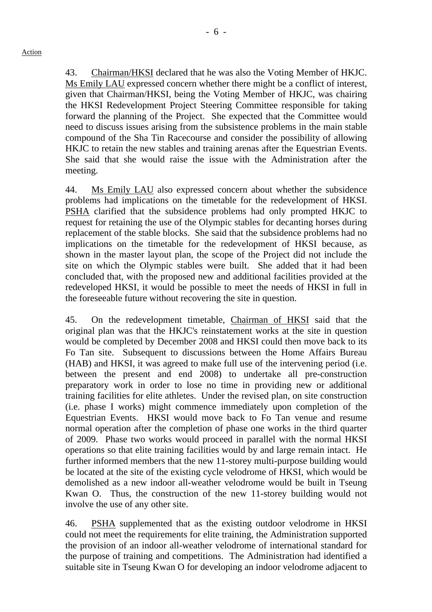43. Chairman/HKSI declared that he was also the Voting Member of HKJC. Ms Emily LAU expressed concern whether there might be a conflict of interest, given that Chairman/HKSI, being the Voting Member of HKJC, was chairing the HKSI Redevelopment Project Steering Committee responsible for taking forward the planning of the Project. She expected that the Committee would need to discuss issues arising from the subsistence problems in the main stable compound of the Sha Tin Racecourse and consider the possibility of allowing HKJC to retain the new stables and training arenas after the Equestrian Events. She said that she would raise the issue with the Administration after the meeting.

44. Ms Emily LAU also expressed concern about whether the subsidence problems had implications on the timetable for the redevelopment of HKSI. PSHA clarified that the subsidence problems had only prompted HKJC to request for retaining the use of the Olympic stables for decanting horses during replacement of the stable blocks. She said that the subsidence problems had no implications on the timetable for the redevelopment of HKSI because, as shown in the master layout plan, the scope of the Project did not include the site on which the Olympic stables were built. She added that it had been concluded that, with the proposed new and additional facilities provided at the redeveloped HKSI, it would be possible to meet the needs of HKSI in full in the foreseeable future without recovering the site in question.

45. On the redevelopment timetable, Chairman of HKSI said that the original plan was that the HKJC's reinstatement works at the site in question would be completed by December 2008 and HKSI could then move back to its Fo Tan site. Subsequent to discussions between the Home Affairs Bureau (HAB) and HKSI, it was agreed to make full use of the intervening period (i.e. between the present and end 2008) to undertake all pre-construction preparatory work in order to lose no time in providing new or additional training facilities for elite athletes. Under the revised plan, on site construction (i.e. phase I works) might commence immediately upon completion of the Equestrian Events. HKSI would move back to Fo Tan venue and resume normal operation after the completion of phase one works in the third quarter of 2009. Phase two works would proceed in parallel with the normal HKSI operations so that elite training facilities would by and large remain intact. He further informed members that the new 11-storey multi-purpose building would be located at the site of the existing cycle velodrome of HKSI, which would be demolished as a new indoor all-weather velodrome would be built in Tseung Kwan O. Thus, the construction of the new 11-storey building would not involve the use of any other site.

46. PSHA supplemented that as the existing outdoor velodrome in HKSI could not meet the requirements for elite training, the Administration supported the provision of an indoor all-weather velodrome of international standard for the purpose of training and competitions. The Administration had identified a suitable site in Tseung Kwan O for developing an indoor velodrome adjacent to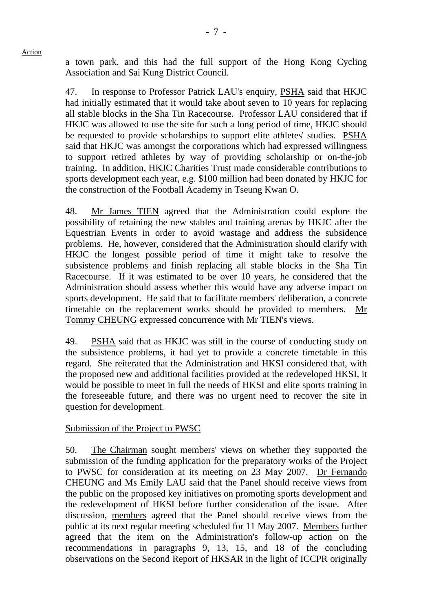Action

a town park, and this had the full support of the Hong Kong Cycling Association and Sai Kung District Council.

47. In response to Professor Patrick LAU's enquiry, PSHA said that HKJC had initially estimated that it would take about seven to 10 years for replacing all stable blocks in the Sha Tin Racecourse. Professor LAU considered that if HKJC was allowed to use the site for such a long period of time, HKJC should be requested to provide scholarships to support elite athletes' studies. PSHA said that HKJC was amongst the corporations which had expressed willingness to support retired athletes by way of providing scholarship or on-the-job training. In addition, HKJC Charities Trust made considerable contributions to sports development each year, e.g. \$100 million had been donated by HKJC for the construction of the Football Academy in Tseung Kwan O.

48. Mr James TIEN agreed that the Administration could explore the possibility of retaining the new stables and training arenas by HKJC after the Equestrian Events in order to avoid wastage and address the subsidence problems. He, however, considered that the Administration should clarify with HKJC the longest possible period of time it might take to resolve the subsistence problems and finish replacing all stable blocks in the Sha Tin Racecourse. If it was estimated to be over 10 years, he considered that the Administration should assess whether this would have any adverse impact on sports development. He said that to facilitate members' deliberation, a concrete timetable on the replacement works should be provided to members. Mr Tommy CHEUNG expressed concurrence with Mr TIEN's views.

49. PSHA said that as HKJC was still in the course of conducting study on the subsistence problems, it had yet to provide a concrete timetable in this regard. She reiterated that the Administration and HKSI considered that, with the proposed new and additional facilities provided at the redeveloped HKSI, it would be possible to meet in full the needs of HKSI and elite sports training in the foreseeable future, and there was no urgent need to recover the site in question for development.

# Submission of the Project to PWSC

50. The Chairman sought members' views on whether they supported the submission of the funding application for the preparatory works of the Project to PWSC for consideration at its meeting on 23 May 2007. Dr Fernando CHEUNG and Ms Emily LAU said that the Panel should receive views from the public on the proposed key initiatives on promoting sports development and the redevelopment of HKSI before further consideration of the issue. After discussion, members agreed that the Panel should receive views from the public at its next regular meeting scheduled for 11 May 2007. Members further agreed that the item on the Administration's follow-up action on the recommendations in paragraphs 9, 13, 15, and 18 of the concluding observations on the Second Report of HKSAR in the light of ICCPR originally